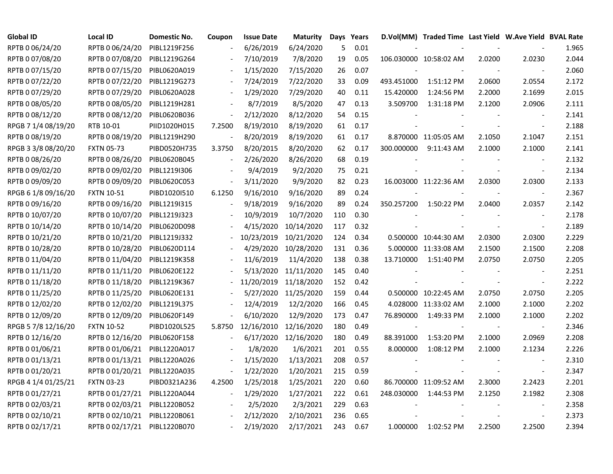| <b>Global ID</b>    | <b>Local ID</b>   | Domestic No. | Coupon                   | <b>Issue Date</b> | <b>Maturity</b>      |     | Days Years |            | D.Vol(MM) Traded Time Last Yield W.Ave Yield BVAL Rate |        |                          |       |
|---------------------|-------------------|--------------|--------------------------|-------------------|----------------------|-----|------------|------------|--------------------------------------------------------|--------|--------------------------|-------|
| RPTB 0 06/24/20     | RPTB 0 06/24/20   | PIBL1219F256 |                          | 6/26/2019         | 6/24/2020            | 5   | 0.01       |            |                                                        |        |                          | 1.965 |
| RPTB 0 07/08/20     | RPTB 0 07/08/20   | PIBL1219G264 |                          | 7/10/2019         | 7/8/2020             | 19  | 0.05       |            | 106.030000 10:58:02 AM                                 | 2.0200 | 2.0230                   | 2.044 |
| RPTB 0 07/15/20     | RPTB 0 07/15/20   | PIBL0620A019 |                          | 1/15/2020         | 7/15/2020            | 26  | 0.07       |            |                                                        |        |                          | 2.060 |
| RPTB 0 07/22/20     | RPTB 0 07/22/20   | PIBL1219G273 |                          | 7/24/2019         | 7/22/2020            | 33  | 0.09       | 493.451000 | 1:51:12 PM                                             | 2.0600 | 2.0554                   | 2.172 |
| RPTB 0 07/29/20     | RPTB 0 07/29/20   | PIBL0620A028 | $\sim$                   | 1/29/2020         | 7/29/2020            | 40  | 0.11       | 15.420000  | 1:24:56 PM                                             | 2.2000 | 2.1699                   | 2.015 |
| RPTB 0 08/05/20     | RPTB 0 08/05/20   | PIBL1219H281 | $\overline{\phantom{a}}$ | 8/7/2019          | 8/5/2020             | 47  | 0.13       | 3.509700   | 1:31:18 PM                                             | 2.1200 | 2.0906                   | 2.111 |
| RPTB 0 08/12/20     | RPTB 0 08/12/20   | PIBL0620B036 | $\overline{\phantom{a}}$ | 2/12/2020         | 8/12/2020            | 54  | 0.15       |            |                                                        |        |                          | 2.141 |
| RPGB 7 1/4 08/19/20 | RTB 10-01         | PIID1020H015 | 7.2500                   | 8/19/2010         | 8/19/2020            | 61  | 0.17       |            |                                                        |        | $\overline{\phantom{a}}$ | 2.188 |
| RPTB 0 08/19/20     | RPTB 0 08/19/20   | PIBL1219H290 |                          | 8/20/2019         | 8/19/2020            | 61  | 0.17       |            | 8.870000 11:05:05 AM                                   | 2.1050 | 2.1047                   | 2.151 |
| RPGB 3 3/8 08/20/20 | <b>FXTN 05-73</b> | PIBD0520H735 | 3.3750                   | 8/20/2015         | 8/20/2020            | 62  | 0.17       | 300.000000 | 9:11:43 AM                                             | 2.1000 | 2.1000                   | 2.141 |
| RPTB 0 08/26/20     | RPTB 0 08/26/20   | PIBL0620B045 | $\blacksquare$           | 2/26/2020         | 8/26/2020            | 68  | 0.19       |            |                                                        |        |                          | 2.132 |
| RPTB 0 09/02/20     | RPTB 0 09/02/20   | PIBL1219I306 |                          | 9/4/2019          | 9/2/2020             | 75  | 0.21       |            |                                                        |        | $\blacksquare$           | 2.134 |
| RPTB 0 09/09/20     | RPTB 0 09/09/20   | PIBL0620C053 | $\overline{\phantom{a}}$ | 3/11/2020         | 9/9/2020             | 82  | 0.23       |            | 16.003000 11:22:36 AM                                  | 2.0300 | 2.0300                   | 2.133 |
| RPGB 6 1/8 09/16/20 | <b>FXTN 10-51</b> | PIBD1020I510 | 6.1250                   | 9/16/2010         | 9/16/2020            | 89  | 0.24       |            |                                                        |        | $\overline{\phantom{a}}$ | 2.367 |
| RPTB 0 09/16/20     | RPTB 0 09/16/20   | PIBL1219I315 |                          | 9/18/2019         | 9/16/2020            | 89  | 0.24       | 350.257200 | 1:50:22 PM                                             | 2.0400 | 2.0357                   | 2.142 |
| RPTB 0 10/07/20     | RPTB 0 10/07/20   | PIBL1219J323 |                          | 10/9/2019         | 10/7/2020            | 110 | 0.30       |            |                                                        |        |                          | 2.178 |
| RPTB 0 10/14/20     | RPTB 0 10/14/20   | PIBL0620D098 |                          | 4/15/2020         | 10/14/2020           | 117 | 0.32       |            |                                                        |        |                          | 2.189 |
| RPTB 0 10/21/20     | RPTB 0 10/21/20   | PIBL1219J332 |                          | 10/23/2019        | 10/21/2020           | 124 | 0.34       |            | 0.500000 10:44:30 AM                                   | 2.0300 | 2.0300                   | 2.229 |
| RPTB 0 10/28/20     | RPTB 0 10/28/20   | PIBL0620D114 |                          | 4/29/2020         | 10/28/2020           | 131 | 0.36       |            | 5.000000 11:33:08 AM                                   | 2.1500 | 2.1500                   | 2.208 |
| RPTB 0 11/04/20     | RPTB 0 11/04/20   | PIBL1219K358 |                          | 11/6/2019         | 11/4/2020            | 138 | 0.38       | 13.710000  | 1:51:40 PM                                             | 2.0750 | 2.0750                   | 2.205 |
| RPTB 0 11/11/20     | RPTB 0 11/11/20   | PIBL0620E122 |                          | 5/13/2020         | 11/11/2020           | 145 | 0.40       |            |                                                        |        | $\overline{\phantom{a}}$ | 2.251 |
| RPTB 0 11/18/20     | RPTB 0 11/18/20   | PIBL1219K367 |                          | 11/20/2019        | 11/18/2020           | 152 | 0.42       |            |                                                        |        | $\blacksquare$           | 2.222 |
| RPTB 0 11/25/20     | RPTB 0 11/25/20   | PIBL0620E131 |                          |                   | 5/27/2020 11/25/2020 | 159 | 0.44       |            | 0.500000 10:22:45 AM                                   | 2.0750 | 2.0750                   | 2.205 |
| RPTB 0 12/02/20     | RPTB 0 12/02/20   | PIBL1219L375 |                          | 12/4/2019         | 12/2/2020            | 166 | 0.45       |            | 4.028000 11:33:02 AM                                   | 2.1000 | 2.1000                   | 2.202 |
| RPTB 0 12/09/20     | RPTB 0 12/09/20   | PIBL0620F149 |                          | 6/10/2020         | 12/9/2020            | 173 | 0.47       | 76.890000  | 1:49:33 PM                                             | 2.1000 | 2.1000                   | 2.202 |
| RPGB 5 7/8 12/16/20 | <b>FXTN 10-52</b> | PIBD1020L525 | 5.8750                   | 12/16/2010        | 12/16/2020           | 180 | 0.49       |            |                                                        |        | $\overline{\phantom{a}}$ | 2.346 |
| RPTB 0 12/16/20     | RPTB 0 12/16/20   | PIBL0620F158 |                          |                   | 6/17/2020 12/16/2020 | 180 | 0.49       | 88.391000  | 1:53:20 PM                                             | 2.1000 | 2.0969                   | 2.208 |
| RPTB 0 01/06/21     | RPTB 0 01/06/21   | PIBL1220A017 |                          | 1/8/2020          | 1/6/2021             | 201 | 0.55       | 8.000000   | 1:08:12 PM                                             | 2.1000 | 2.1234                   | 2.226 |
| RPTB 0 01/13/21     | RPTB 0 01/13/21   | PIBL1220A026 |                          | 1/15/2020         | 1/13/2021            | 208 | 0.57       |            |                                                        |        |                          | 2.310 |
| RPTB 0 01/20/21     | RPTB 0 01/20/21   | PIBL1220A035 | $\overline{\phantom{a}}$ | 1/22/2020         | 1/20/2021            | 215 | 0.59       |            |                                                        |        | $\overline{\phantom{a}}$ | 2.347 |
| RPGB 4 1/4 01/25/21 | <b>FXTN 03-23</b> | PIBD0321A236 | 4.2500                   | 1/25/2018         | 1/25/2021            | 220 | 0.60       |            | 86.700000 11:09:52 AM                                  | 2.3000 | 2.2423                   | 2.201 |
| RPTB 0 01/27/21     | RPTB 0 01/27/21   | PIBL1220A044 | $\blacksquare$           | 1/29/2020         | 1/27/2021            | 222 | 0.61       | 248.030000 | 1:44:53 PM                                             | 2.1250 | 2.1982                   | 2.308 |
| RPTB 0 02/03/21     | RPTB 0 02/03/21   | PIBL1220B052 |                          | 2/5/2020          | 2/3/2021             | 229 | 0.63       |            |                                                        |        |                          | 2.358 |
| RPTB 0 02/10/21     | RPTB 0 02/10/21   | PIBL1220B061 |                          | 2/12/2020         | 2/10/2021            | 236 | 0.65       |            |                                                        |        |                          | 2.373 |
| RPTB 0 02/17/21     | RPTB 0 02/17/21   | PIBL1220B070 |                          | 2/19/2020         | 2/17/2021            | 243 | 0.67       | 1.000000   | 1:02:52 PM                                             | 2.2500 | 2.2500                   | 2.394 |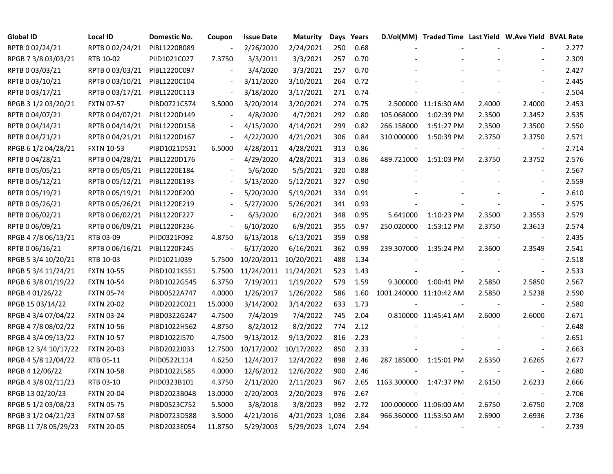| <b>Global ID</b>     | <b>Local ID</b>   | <b>Domestic No.</b> | Coupon                   | <b>Issue Date</b>     | <b>Maturity</b>       |     | Days Years |                         | D.Vol(MM) Traded Time Last Yield W.Ave Yield BVAL Rate |        |                          |       |
|----------------------|-------------------|---------------------|--------------------------|-----------------------|-----------------------|-----|------------|-------------------------|--------------------------------------------------------|--------|--------------------------|-------|
| RPTB 0 02/24/21      | RPTB 0 02/24/21   | PIBL1220B089        | $\blacksquare$           | 2/26/2020             | 2/24/2021             | 250 | 0.68       |                         |                                                        |        |                          | 2.277 |
| RPGB 7 3/8 03/03/21  | RTB 10-02         | PIID1021C027        | 7.3750                   | 3/3/2011              | 3/3/2021              | 257 | 0.70       |                         |                                                        |        |                          | 2.309 |
| RPTB 0 03/03/21      | RPTB 0 03/03/21   | PIBL1220C097        |                          | 3/4/2020              | 3/3/2021              | 257 | 0.70       |                         |                                                        |        |                          | 2.427 |
| RPTB 0 03/10/21      | RPTB 0 03/10/21   | PIBL1220C104        |                          | 3/11/2020             | 3/10/2021             | 264 | 0.72       |                         |                                                        |        |                          | 2.445 |
| RPTB 0 03/17/21      | RPTB 0 03/17/21   | PIBL1220C113        | $\overline{\phantom{a}}$ | 3/18/2020             | 3/17/2021             | 271 | 0.74       |                         |                                                        |        |                          | 2.504 |
| RPGB 3 1/2 03/20/21  | <b>FXTN 07-57</b> | PIBD0721C574        | 3.5000                   | 3/20/2014             | 3/20/2021             | 274 | 0.75       |                         | 2.500000 11:16:30 AM                                   | 2.4000 | 2.4000                   | 2.453 |
| RPTB 0 04/07/21      | RPTB 0 04/07/21   | PIBL1220D149        | $\blacksquare$           | 4/8/2020              | 4/7/2021              | 292 | 0.80       | 105.068000              | 1:02:39 PM                                             | 2.3500 | 2.3452                   | 2.535 |
| RPTB 0 04/14/21      | RPTB 0 04/14/21   | PIBL1220D158        | $\frac{1}{2}$            | 4/15/2020             | 4/14/2021             | 299 | 0.82       | 266.158000              | 1:51:27 PM                                             | 2.3500 | 2.3500                   | 2.550 |
| RPTB 0 04/21/21      | RPTB 0 04/21/21   | PIBL1220D167        | $\blacksquare$           | 4/22/2020             | 4/21/2021             | 306 | 0.84       | 310.000000              | 1:50:39 PM                                             | 2.3750 | 2.3750                   | 2.571 |
| RPGB 6 1/2 04/28/21  | <b>FXTN 10-53</b> | PIBD1021D531        | 6.5000                   | 4/28/2011             | 4/28/2021             | 313 | 0.86       |                         |                                                        |        |                          | 2.714 |
| RPTB 0 04/28/21      | RPTB 0 04/28/21   | PIBL1220D176        | $\overline{\phantom{a}}$ | 4/29/2020             | 4/28/2021             | 313 | 0.86       | 489.721000              | 1:51:03 PM                                             | 2.3750 | 2.3752                   | 2.576 |
| RPTB 0 05/05/21      | RPTB 0 05/05/21   | PIBL1220E184        |                          | 5/6/2020              | 5/5/2021              | 320 | 0.88       |                         |                                                        |        | $\sim$                   | 2.567 |
| RPTB 0 05/12/21      | RPTB 0 05/12/21   | PIBL1220E193        |                          | 5/13/2020             | 5/12/2021             | 327 | 0.90       |                         |                                                        |        |                          | 2.559 |
| RPTB 0 05/19/21      | RPTB 0 05/19/21   | PIBL1220E200        |                          | 5/20/2020             | 5/19/2021             | 334 | 0.91       |                         |                                                        |        |                          | 2.610 |
| RPTB 0 05/26/21      | RPTB 0 05/26/21   | PIBL1220E219        |                          | 5/27/2020             | 5/26/2021             | 341 | 0.93       |                         |                                                        |        |                          | 2.575 |
| RPTB 0 06/02/21      | RPTB 0 06/02/21   | PIBL1220F227        |                          | 6/3/2020              | 6/2/2021              | 348 | 0.95       | 5.641000                | 1:10:23 PM                                             | 2.3500 | 2.3553                   | 2.579 |
| RPTB 0 06/09/21      | RPTB 0 06/09/21   | PIBL1220F236        | $\blacksquare$           | 6/10/2020             | 6/9/2021              | 355 | 0.97       | 250.020000              | 1:53:12 PM                                             | 2.3750 | 2.3613                   | 2.574 |
| RPGB 4 7/8 06/13/21  | RTB 03-09         | PIID0321F092        | 4.8750                   | 6/13/2018             | 6/13/2021             | 359 | 0.98       |                         |                                                        |        | $\blacksquare$           | 2.435 |
| RPTB 0 06/16/21      | RPTB 0 06/16/21   | PIBL1220F245        |                          | 6/17/2020             | 6/16/2021             | 362 | 0.99       | 239.307000              | 1:35:24 PM                                             | 2.3600 | 2.3549                   | 2.541 |
| RPGB 5 3/4 10/20/21  | RTB 10-03         | PIID1021J039        | 5.7500                   |                       | 10/20/2011 10/20/2021 | 488 | 1.34       |                         |                                                        |        | $\overline{\phantom{a}}$ | 2.518 |
| RPGB 5 3/4 11/24/21  | <b>FXTN 10-55</b> | PIBD1021K551        | 5.7500                   | 11/24/2011 11/24/2021 |                       | 523 | 1.43       |                         |                                                        |        |                          | 2.533 |
| RPGB 63/801/19/22    | <b>FXTN 10-54</b> | PIBD1022G545        | 6.3750                   | 7/19/2011             | 1/19/2022             | 579 | 1.59       | 9.300000                | 1:00:41 PM                                             | 2.5850 | 2.5850                   | 2.567 |
| RPGB 4 01/26/22      | <b>FXTN 05-74</b> | PIBD0522A747        | 4.0000                   | 1/26/2017             | 1/26/2022             | 586 | 1.60       | 1001.240000 11:10:42 AM |                                                        | 2.5850 | 2.5238                   | 2.590 |
| RPGB 15 03/14/22     | <b>FXTN 20-02</b> | PIBD2022C021        | 15.0000                  | 3/14/2002             | 3/14/2022             | 633 | 1.73       |                         |                                                        |        | $\blacksquare$           | 2.580 |
| RPGB 4 3/4 07/04/22  | <b>FXTN 03-24</b> | PIBD0322G247        | 4.7500                   | 7/4/2019              | 7/4/2022              | 745 | 2.04       |                         | 0.810000 11:45:41 AM                                   | 2.6000 | 2.6000                   | 2.671 |
| RPGB 4 7/8 08/02/22  | <b>FXTN 10-56</b> | PIBD1022H562        | 4.8750                   | 8/2/2012              | 8/2/2022              | 774 | 2.12       |                         |                                                        |        |                          | 2.648 |
| RPGB 4 3/4 09/13/22  | <b>FXTN 10-57</b> | PIBD1022I570        | 4.7500                   | 9/13/2012             | 9/13/2022             | 816 | 2.23       |                         |                                                        |        |                          | 2.651 |
| RPGB 12 3/4 10/17/22 | <b>FXTN 20-03</b> | PIBD2022J033        | 12.7500                  |                       | 10/17/2002 10/17/2022 | 850 | 2.33       |                         |                                                        |        |                          | 2.663 |
| RPGB 4 5/8 12/04/22  | RTB 05-11         | PIID0522L114        | 4.6250                   | 12/4/2017             | 12/4/2022             | 898 | 2.46       | 287.185000              | 1:15:01 PM                                             | 2.6350 | 2.6265                   | 2.677 |
| RPGB 4 12/06/22      | <b>FXTN 10-58</b> | PIBD1022L585        | 4.0000                   | 12/6/2012             | 12/6/2022             | 900 | 2.46       |                         |                                                        |        | $\overline{\phantom{a}}$ | 2.680 |
| RPGB 4 3/8 02/11/23  | RTB 03-10         | PIID0323B101        | 4.3750                   | 2/11/2020             | 2/11/2023             | 967 | 2.65       | 1163.300000             | 1:47:37 PM                                             | 2.6150 | 2.6233                   | 2.666 |
| RPGB 13 02/20/23     | <b>FXTN 20-04</b> | PIBD2023B048        | 13.0000                  | 2/20/2003             | 2/20/2023             | 976 | 2.67       |                         |                                                        |        | $\blacksquare$           | 2.706 |
| RPGB 5 1/2 03/08/23  | <b>FXTN 05-75</b> | PIBD0523C752        | 5.5000                   | 3/8/2018              | 3/8/2023              | 992 | 2.72       |                         | 100.000000 11:06:00 AM                                 | 2.6750 | 2.6750                   | 2.708 |
| RPGB 3 1/2 04/21/23  | <b>FXTN 07-58</b> | PIBD0723D588        | 3.5000                   | 4/21/2016             | 4/21/2023 1,036       |     | 2.84       |                         | 966.360000 11:53:50 AM                                 | 2.6900 | 2.6936                   | 2.736 |
| RPGB 11 7/8 05/29/23 | <b>FXTN 20-05</b> | PIBD2023E054        | 11.8750                  | 5/29/2003             | 5/29/2023 1,074       |     | 2.94       | $\sim$                  |                                                        |        |                          | 2.739 |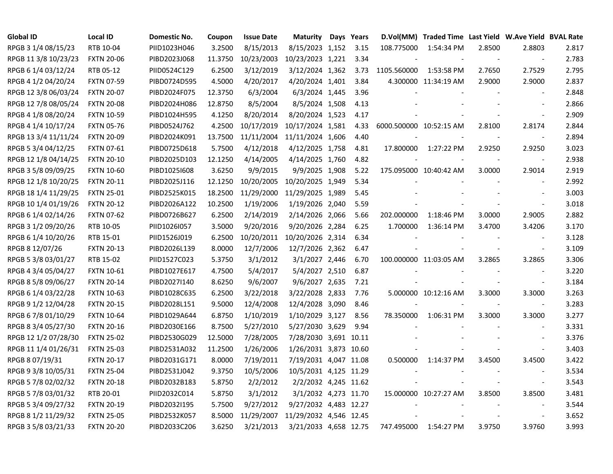| <b>Global ID</b>     | <b>Local ID</b>   | Domestic No. | Coupon  | <b>Issue Date</b> | <b>Maturity</b>        | Days Years |                         | D.Vol(MM) Traded Time Last Yield W.Ave Yield BVAL Rate |        |                          |       |
|----------------------|-------------------|--------------|---------|-------------------|------------------------|------------|-------------------------|--------------------------------------------------------|--------|--------------------------|-------|
| RPGB 3 1/4 08/15/23  | RTB 10-04         | PIID1023H046 | 3.2500  | 8/15/2013         | 8/15/2023 1,152        | 3.15       | 108.775000              | 1:54:34 PM                                             | 2.8500 | 2.8803                   | 2.817 |
| RPGB 11 3/8 10/23/23 | <b>FXTN 20-06</b> | PIBD2023J068 | 11.3750 | 10/23/2003        | 10/23/2023 1,221       | 3.34       |                         |                                                        | $\sim$ | $\blacksquare$           | 2.783 |
| RPGB 6 1/4 03/12/24  | RTB 05-12         | PIID0524C129 | 6.2500  | 3/12/2019         | 3/12/2024 1,362        | 3.73       | 1105.560000             | 1:53:58 PM                                             | 2.7650 | 2.7529                   | 2.795 |
| RPGB 4 1/2 04/20/24  | <b>FXTN 07-59</b> | PIBD0724D595 | 4.5000  | 4/20/2017         | 4/20/2024 1,401        | 3.84       |                         | 4.300000 11:34:19 AM                                   | 2.9000 | 2.9000                   | 2.837 |
| RPGB 12 3/8 06/03/24 | <b>FXTN 20-07</b> | PIBD2024F075 | 12.3750 | 6/3/2004          | 6/3/2024 1,445         | 3.96       |                         |                                                        |        | $\overline{\phantom{a}}$ | 2.848 |
| RPGB 12 7/8 08/05/24 | <b>FXTN 20-08</b> | PIBD2024H086 | 12.8750 | 8/5/2004          | 8/5/2024 1,508         | 4.13       |                         |                                                        |        | $\sim$                   | 2.866 |
| RPGB 4 1/8 08/20/24  | <b>FXTN 10-59</b> | PIBD1024H595 | 4.1250  | 8/20/2014         | 8/20/2024 1,523        | 4.17       |                         |                                                        |        | $\sim$                   | 2.909 |
| RPGB 4 1/4 10/17/24  | <b>FXTN 05-76</b> | PIBD0524J762 | 4.2500  | 10/17/2019        | 10/17/2024 1,581       | 4.33       | 6000.500000 10:52:15 AM |                                                        | 2.8100 | 2.8174                   | 2.844 |
| RPGB 13 3/4 11/11/24 | <b>FXTN 20-09</b> | PIBD2024K091 | 13.7500 | 11/11/2004        | 11/11/2024 1,606       | 4.40       |                         |                                                        |        | $\blacksquare$           | 2.894 |
| RPGB 5 3/4 04/12/25  | <b>FXTN 07-61</b> | PIBD0725D618 | 5.7500  | 4/12/2018         | 4/12/2025 1,758        | 4.81       | 17.800000               | 1:27:22 PM                                             | 2.9250 | 2.9250                   | 3.023 |
| RPGB 12 1/8 04/14/25 | <b>FXTN 20-10</b> | PIBD2025D103 | 12.1250 | 4/14/2005         | 4/14/2025 1,760        | 4.82       |                         |                                                        |        | $\overline{\phantom{a}}$ | 2.938 |
| RPGB 3 5/8 09/09/25  | <b>FXTN 10-60</b> | PIBD10251608 | 3.6250  | 9/9/2015          | 9/9/2025 1,908         | 5.22       |                         | 175.095000 10:40:42 AM                                 | 3.0000 | 2.9014                   | 2.919 |
| RPGB 12 1/8 10/20/25 | <b>FXTN 20-11</b> | PIBD2025J116 | 12.1250 | 10/20/2005        | 10/20/2025 1,949       | 5.34       |                         |                                                        |        | $\blacksquare$           | 2.992 |
| RPGB 18 1/4 11/29/25 | <b>FXTN 25-01</b> | PIBD2525K015 | 18.2500 | 11/29/2000        | 11/29/2025 1,989       | 5.45       |                         |                                                        |        | $\sim$                   | 3.003 |
| RPGB 10 1/4 01/19/26 | <b>FXTN 20-12</b> | PIBD2026A122 | 10.2500 | 1/19/2006         | 1/19/2026 2,040        | 5.59       |                         |                                                        |        | $\sim$                   | 3.018 |
| RPGB 6 1/4 02/14/26  | <b>FXTN 07-62</b> | PIBD0726B627 | 6.2500  | 2/14/2019         | 2/14/2026 2,066        | 5.66       | 202.000000              | 1:18:46 PM                                             | 3.0000 | 2.9005                   | 2.882 |
| RPGB 3 1/2 09/20/26  | RTB 10-05         | PIID1026I057 | 3.5000  | 9/20/2016         | 9/20/2026 2,284        | 6.25       | 1.700000                | 1:36:14 PM                                             | 3.4700 | 3.4206                   | 3.170 |
| RPGB 6 1/4 10/20/26  | RTB 15-01         | PIID1526J019 | 6.2500  | 10/20/2011        | 10/20/2026 2,314       | 6.34       |                         |                                                        |        |                          | 3.128 |
| RPGB 8 12/07/26      | <b>FXTN 20-13</b> | PIBD2026L139 | 8.0000  | 12/7/2006         | 12/7/2026 2,362        | 6.47       |                         |                                                        |        | $\blacksquare$           | 3.109 |
| RPGB 5 3/8 03/01/27  | RTB 15-02         | PIID1527C023 | 5.3750  | 3/1/2012          | 3/1/2027 2,446         | 6.70       |                         | 100.000000 11:03:05 AM                                 | 3.2865 | 3.2865                   | 3.306 |
| RPGB 4 3/4 05/04/27  | <b>FXTN 10-61</b> | PIBD1027E617 | 4.7500  | 5/4/2017          | 5/4/2027 2,510         | 6.87       |                         |                                                        |        | $\overline{\phantom{a}}$ | 3.220 |
| RPGB 8 5/8 09/06/27  | <b>FXTN 20-14</b> | PIBD2027I140 | 8.6250  | 9/6/2007          | 9/6/2027 2,635         | 7.21       |                         |                                                        |        | $\blacksquare$           | 3.184 |
| RPGB 6 1/4 03/22/28  | <b>FXTN 10-63</b> | PIBD1028C635 | 6.2500  | 3/22/2018         | 3/22/2028 2,833        | 7.76       |                         | 5.000000 10:12:16 AM                                   | 3.3000 | 3.3000                   | 3.263 |
| RPGB 9 1/2 12/04/28  | <b>FXTN 20-15</b> | PIBD2028L151 | 9.5000  | 12/4/2008         | 12/4/2028 3,090        | 8.46       |                         |                                                        |        | $\blacksquare$           | 3.283 |
| RPGB 6 7/8 01/10/29  | <b>FXTN 10-64</b> | PIBD1029A644 | 6.8750  | 1/10/2019         | 1/10/2029 3,127        | 8.56       | 78.350000               | 1:06:31 PM                                             | 3.3000 | 3.3000                   | 3.277 |
| RPGB 8 3/4 05/27/30  | <b>FXTN 20-16</b> | PIBD2030E166 | 8.7500  | 5/27/2010         | 5/27/2030 3,629        | 9.94       |                         |                                                        |        | $\sim$                   | 3.331 |
| RPGB 12 1/2 07/28/30 | <b>FXTN 25-02</b> | PIBD2530G029 | 12.5000 | 7/28/2005         | 7/28/2030 3,691 10.11  |            |                         |                                                        |        | $\sim$                   | 3.376 |
| RPGB 11 1/4 01/26/31 | <b>FXTN 25-03</b> | PIBD2531A032 | 11.2500 | 1/26/2006         | 1/26/2031 3,873 10.60  |            |                         |                                                        |        | $\sim$                   | 3.403 |
| RPGB 8 07/19/31      | <b>FXTN 20-17</b> | PIBD2031G171 | 8.0000  | 7/19/2011         | 7/19/2031 4,047 11.08  |            | 0.500000                | 1:14:37 PM                                             | 3.4500 | 3.4500                   | 3.422 |
| RPGB 9 3/8 10/05/31  | <b>FXTN 25-04</b> | PIBD2531J042 | 9.3750  | 10/5/2006         | 10/5/2031 4,125 11.29  |            |                         |                                                        |        | $\overline{\phantom{a}}$ | 3.534 |
| RPGB 5 7/8 02/02/32  | <b>FXTN 20-18</b> | PIBD2032B183 | 5.8750  | 2/2/2012          | 2/2/2032 4,245 11.62   |            |                         |                                                        |        | $\blacksquare$           | 3.543 |
| RPGB 5 7/8 03/01/32  | RTB 20-01         | PIID2032C014 | 5.8750  | 3/1/2012          | 3/1/2032 4,273 11.70   |            |                         | 15.000000 10:27:27 AM                                  | 3.8500 | 3.8500                   | 3.481 |
| RPGB 5 3/4 09/27/32  | <b>FXTN 20-19</b> | PIBD2032I195 | 5.7500  | 9/27/2012         | 9/27/2032 4,483 12.27  |            |                         |                                                        |        | $\overline{\phantom{a}}$ | 3.544 |
| RPGB 8 1/2 11/29/32  | <b>FXTN 25-05</b> | PIBD2532K057 | 8.5000  | 11/29/2007        | 11/29/2032 4,546 12.45 |            |                         |                                                        |        | $\overline{\phantom{a}}$ | 3.652 |
| RPGB 3 5/8 03/21/33  | <b>FXTN 20-20</b> | PIBD2033C206 | 3.6250  | 3/21/2013         | 3/21/2033 4,658 12.75  |            |                         | 747.495000 1:54:27 PM                                  | 3.9750 | 3.9760                   | 3.993 |